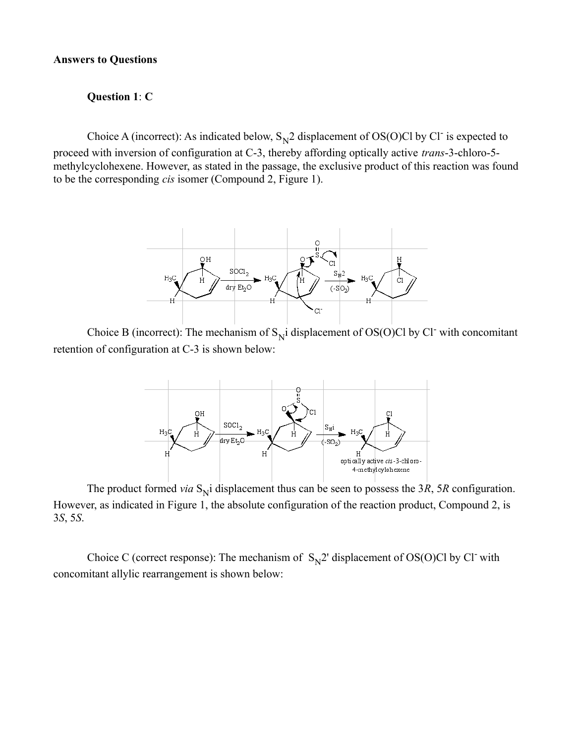#### **Answers to Questions**

### **Question 1**: **C**

Choice A (incorrect): As indicated below,  $S_N^2$  displacement of OS(O)Cl by Cl<sup>-</sup> is expected to proceed with inversion of configuration at C-3, thereby affording optically active *trans*-3-chloro-5 methylcyclohexene. However, as stated in the passage, the exclusive product of this reaction was found to be the corresponding *cis* isomer (Compound 2, Figure 1).



Choice B (incorrect): The mechanism of  $S_N$  idisplacement of OS(O)Cl by Cl<sup>-</sup> with concomitant retention of configuration at C-3 is shown below:



The product formed *via*  $S_N$  displacement thus can be seen to possess the 3*R*, 5*R* configuration. However, as indicated in Figure 1, the absolute configuration of the reaction product, Compound 2, is 3*S*, 5*S*.

Choice C (correct response): The mechanism of  $S_N^2$  displacement of OS(O)Cl by Cl<sup>-</sup> with concomitant allylic rearrangement is shown below: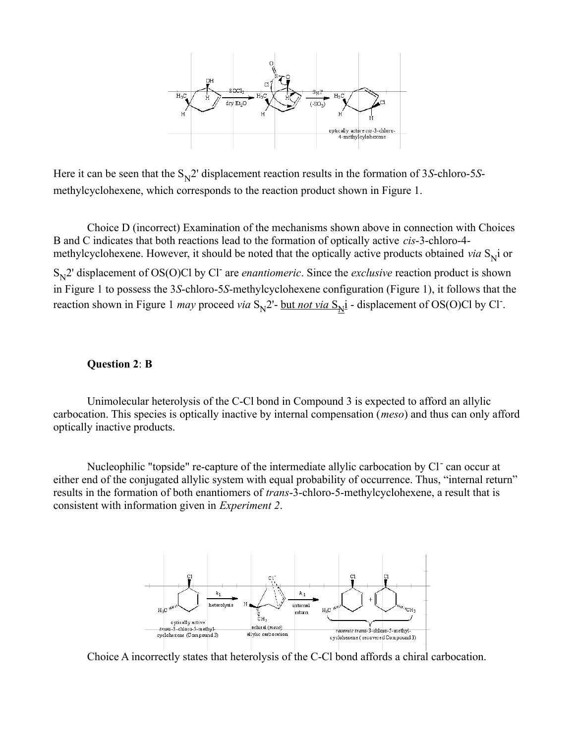

Here it can be seen that the S<sub>N</sub>2' displacement reaction results in the formation of 3*S*-chloro-5*S*methylcyclohexene, which corresponds to the reaction product shown in Figure 1.

 Choice D (incorrect) Examination of the mechanisms shown above in connection with Choices B and C indicates that both reactions lead to the formation of optically active *cis*-3-chloro-4 methylcyclohexene. However, it should be noted that the optically active products obtained *via* S<sub>N</sub>i or S<sub>N</sub>2' displacement of OS(O)Cl by Cl<sup>-</sup> are *enantiomeric*. Since the *exclusive* reaction product is shown in Figure 1 to possess the 3*S*-chloro-5*S*-methylcyclohexene configuration (Figure 1), it follows that the reaction shown in Figure 1 *may* proceed *via*  $S_N^2$ - <u>but *not via*  $S_N^2$ </u> - displacement of OS(O)Cl by Cl<sup>-</sup>.

### **Question 2**: **B**

 Unimolecular heterolysis of the C-Cl bond in Compound 3 is expected to afford an allylic carbocation. This species is optically inactive by internal compensation (*meso*) and thus can only afford optically inactive products.

Nucleophilic "topside" re-capture of the intermediate allylic carbocation by Cl<sup>-</sup> can occur at either end of the conjugated allylic system with equal probability of occurrence. Thus, "internal return" results in the formation of both enantiomers of *trans*-3-chloro-5-methylcyclohexene, a result that is consistent with information given in *Experiment 2*.



Choice A incorrectly states that heterolysis of the C-Cl bond affords a chiral carbocation.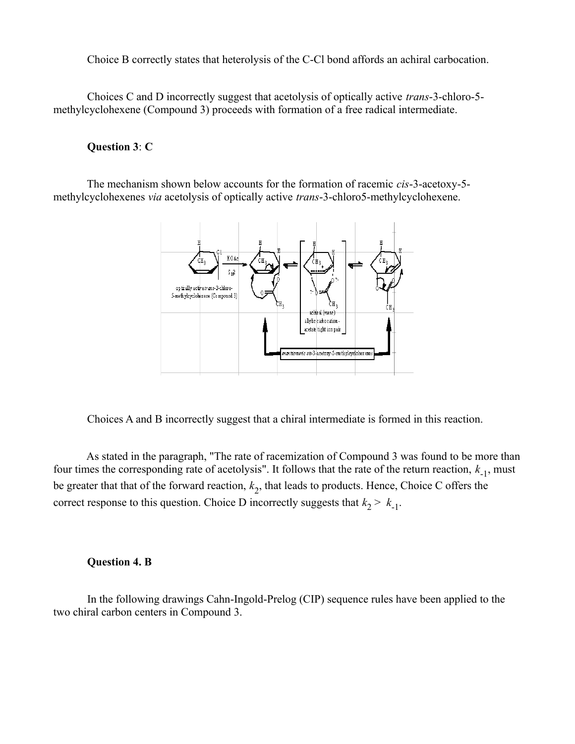Choice B correctly states that heterolysis of the C-Cl bond affords an achiral carbocation.

 Choices C and D incorrectly suggest that acetolysis of optically active *trans*-3-chloro-5 methylcyclohexene (Compound 3) proceeds with formation of a free radical intermediate.

## **Question 3**: **C**

 The mechanism shown below accounts for the formation of racemic *cis*-3-acetoxy-5 methylcyclohexenes *via* acetolysis of optically active *trans*-3-chloro5-methylcyclohexene.



Choices A and B incorrectly suggest that a chiral intermediate is formed in this reaction.

 As stated in the paragraph, "The rate of racemization of Compound 3 was found to be more than four times the corresponding rate of acetolysis". It follows that the rate of the return reaction,  $k_{-1}$ , must be greater that that of the forward reaction, *k* 2 , that leads to products. Hence, Choice C offers the correct response to this question. Choice D incorrectly suggests that  $k_2 > k_1$ .

## **Question 4. B**

 In the following drawings Cahn-Ingold-Prelog (CIP) sequence rules have been applied to the two chiral carbon centers in Compound 3.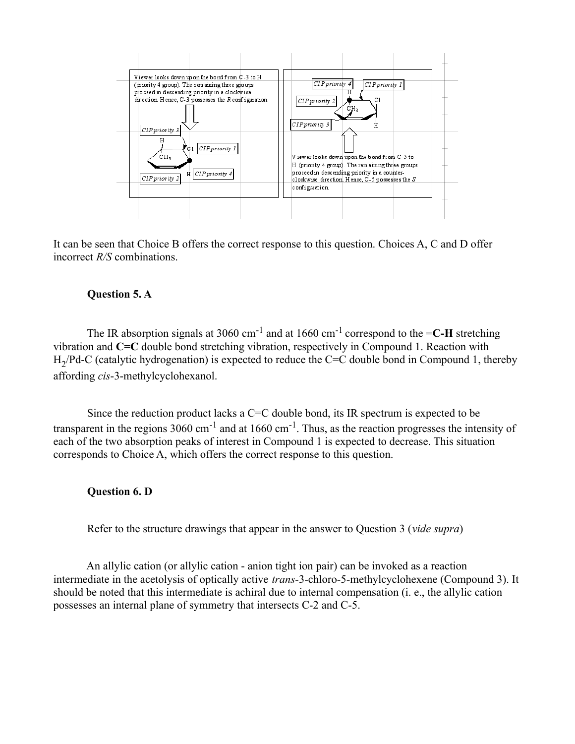

It can be seen that Choice B offers the correct response to this question. Choices A, C and D offer incorrect *R/S* combinations.

# **Question 5. A**

The IR absorption signals at 3060 cm<sup>-1</sup> and at 1660 cm<sup>-1</sup> correspond to the  $=C-H$  stretching vibration and **C=C** double bond stretching vibration, respectively in Compound 1. Reaction with  $H_2$ /Pd-C (catalytic hydrogenation) is expected to reduce the C=C double bond in Compound 1, thereby affording *cis*-3-methylcyclohexanol.

Since the reduction product lacks a  $C = C$  double bond, its IR spectrum is expected to be transparent in the regions  $3060 \text{ cm}^{-1}$  and at  $1660 \text{ cm}^{-1}$ . Thus, as the reaction progresses the intensity of each of the two absorption peaks of interest in Compound 1 is expected to decrease. This situation corresponds to Choice A, which offers the correct response to this question.

## **Question 6. D**

Refer to the structure drawings that appear in the answer to Question 3 (*vide supra*)

 An allylic cation (or allylic cation - anion tight ion pair) can be invoked as a reaction intermediate in the acetolysis of optically active *trans*-3-chloro-5-methylcyclohexene (Compound 3). It should be noted that this intermediate is achiral due to internal compensation (i. e., the allylic cation possesses an internal plane of symmetry that intersects C-2 and C-5.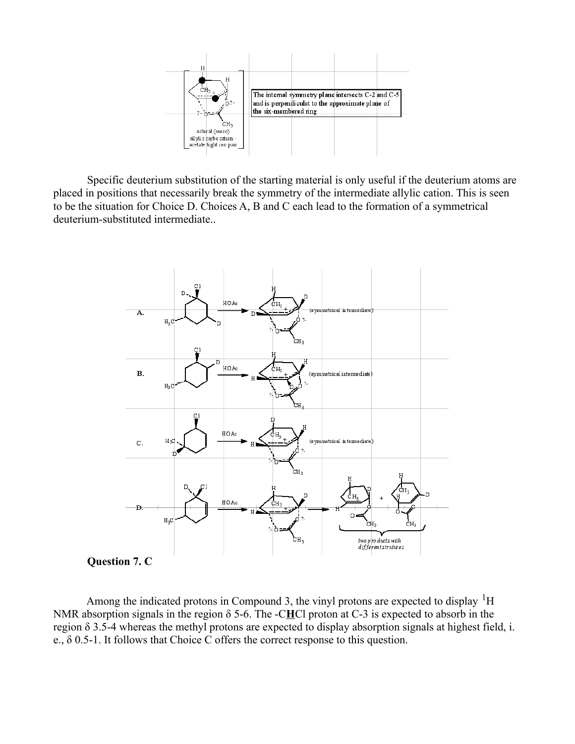

 Specific deuterium substitution of the starting material is only useful if the deuterium atoms are placed in positions that necessarily break the symmetry of the intermediate allylic cation. This is seen to be the situation for Choice D. Choices A, B and C each lead to the formation of a symmetrical deuterium-substituted intermediate..



**Question 7. C**

Among the indicated protons in Compound 3, the vinyl protons are expected to display  ${}^{1}H$ NMR absorption signals in the region δ 5-6. The -C**H**Cl proton at C-3 is expected to absorb in the region δ 3.5-4 whereas the methyl protons are expected to display absorption signals at highest field, i. e., δ 0.5-1. It follows that Choice C offers the correct response to this question.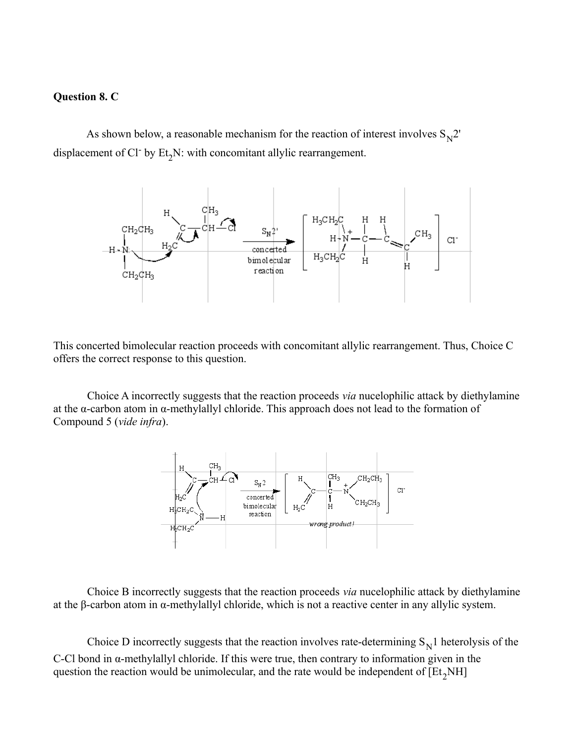### **Question 8. C**

As shown below, a reasonable mechanism for the reaction of interest involves  $S_N^2$ . displacement of Cl<sup>-</sup> by  $Et_2N$ : with concomitant allylic rearrangement.



This concerted bimolecular reaction proceeds with concomitant allylic rearrangement. Thus, Choice C offers the correct response to this question.

 Choice A incorrectly suggests that the reaction proceeds *via* nucelophilic attack by diethylamine at the α-carbon atom in α-methylallyl chloride. This approach does not lead to the formation of Compound 5 (*vide infra*).



 Choice B incorrectly suggests that the reaction proceeds *via* nucelophilic attack by diethylamine at the β-carbon atom in α-methylallyl chloride, which is not a reactive center in any allylic system.

Choice D incorrectly suggests that the reaction involves rate-determining  $S_N$ 1 heterolysis of the C-Cl bond in α-methylallyl chloride. If this were true, then contrary to information given in the question the reaction would be unimolecular, and the rate would be independent of  $[Et_2NH]$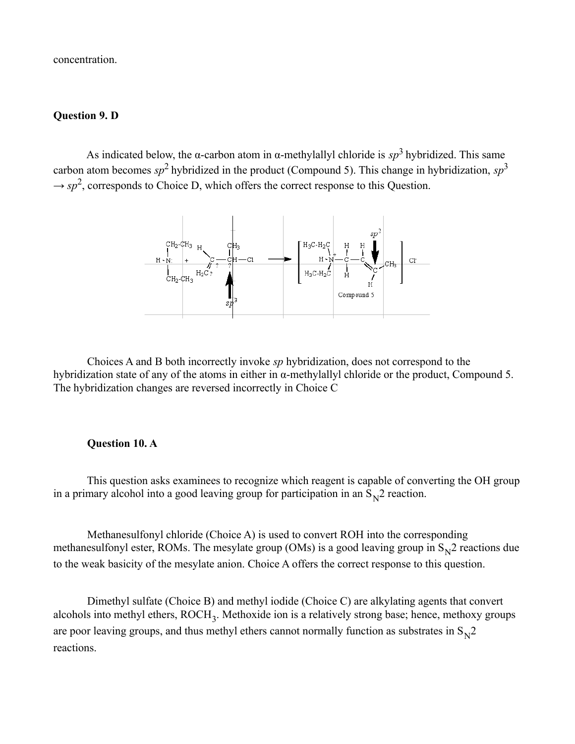concentration.

# **Question 9. D**

As indicated below, the  $\alpha$ -carbon atom in  $\alpha$ -methylallyl chloride is  $sp^3$  hybridized. This same carbon atom becomes  $sp^2$  hybridized in the product (Compound 5). This change in hybridization,  $sp^3$  $\rightarrow sp^2$ , corresponds to Choice D, which offers the correct response to this Question.



 Choices A and B both incorrectly invoke *sp* hybridization, does not correspond to the hybridization state of any of the atoms in either in α-methylallyl chloride or the product, Compound 5. The hybridization changes are reversed incorrectly in Choice C

## **Question 10. A**

 This question asks examinees to recognize which reagent is capable of converting the OH group in a primary alcohol into a good leaving group for participation in an  $S_N^2$  reaction.

 Methanesulfonyl chloride (Choice A) is used to convert ROH into the corresponding methanesulfonyl ester, ROMs. The mesylate group (OMs) is a good leaving group in  $S_N^2$  reactions due to the weak basicity of the mesylate anion. Choice A offers the correct response to this question.

 Dimethyl sulfate (Choice B) and methyl iodide (Choice C) are alkylating agents that convert alcohols into methyl ethers, ROCH<sub>3</sub>. Methoxide ion is a relatively strong base; hence, methoxy groups are poor leaving groups, and thus methyl ethers cannot normally function as substrates in  $S_N^2$ reactions.